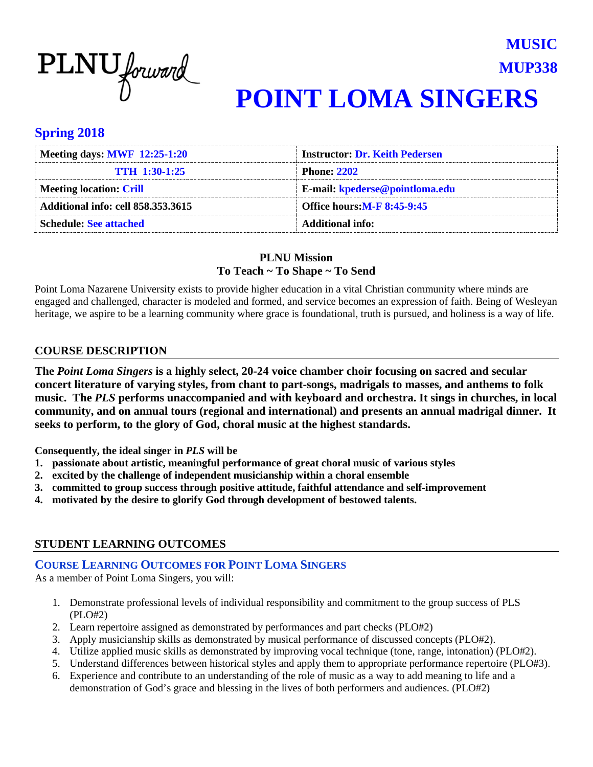

## **MUP338 POINT LOMA SINGERS**

**MUSIC**

#### **Spring 2018**

| Meeting days: MWF 12:25-1:20              | <b>Instructor: Dr. Keith Pedersen</b> |
|-------------------------------------------|---------------------------------------|
| <b>TTH 1:30-1:25</b>                      | <b>Phone: 2202</b>                    |
| Meeting location: Crill                   | E-mail: kpederse@pointloma.edu        |
| <b>Additional info: cell 858.353.3615</b> | <b>Office hours: M-F 8:45-9:45</b>    |
| <b>Schedule: See attached</b>             | Additional info:                      |

#### **PLNU Mission To Teach ~ To Shape ~ To Send**

Point Loma Nazarene University exists to provide higher education in a vital Christian community where minds are engaged and challenged, character is modeled and formed, and service becomes an expression of faith. Being of Wesleyan heritage, we aspire to be a learning community where grace is foundational, truth is pursued, and holiness is a way of life.

#### **COURSE DESCRIPTION**

**The** *Point Loma Singers* **is a highly select, 20-24 voice chamber choir focusing on sacred and secular concert literature of varying styles, from chant to part-songs, madrigals to masses, and anthems to folk music. The** *PLS* **performs unaccompanied and with keyboard and orchestra. It sings in churches, in local community, and on annual tours (regional and international) and presents an annual madrigal dinner. It seeks to perform, to the glory of God, choral music at the highest standards.**

**Consequently, the ideal singer in** *PLS* **will be**

- **1. passionate about artistic, meaningful performance of great choral music of various styles**
- **2. excited by the challenge of independent musicianship within a choral ensemble**
- **3. committed to group success through positive attitude, faithful attendance and self-improvement**
- **4. motivated by the desire to glorify God through development of bestowed talents.**

#### **STUDENT LEARNING OUTCOMES**

#### **COURSE LEARNING OUTCOMES FOR POINT LOMA SINGERS**

As a member of Point Loma Singers, you will:

- 1. Demonstrate professional levels of individual responsibility and commitment to the group success of PLS (PLO#2)
- 2. Learn repertoire assigned as demonstrated by performances and part checks (PLO#2)
- 3. Apply musicianship skills as demonstrated by musical performance of discussed concepts (PLO#2).
- 4. Utilize applied music skills as demonstrated by improving vocal technique (tone, range, intonation) (PLO#2).
- 5. Understand differences between historical styles and apply them to appropriate performance repertoire (PLO#3).
- 6. Experience and contribute to an understanding of the role of music as a way to add meaning to life and a demonstration of God's grace and blessing in the lives of both performers and audiences. (PLO#2)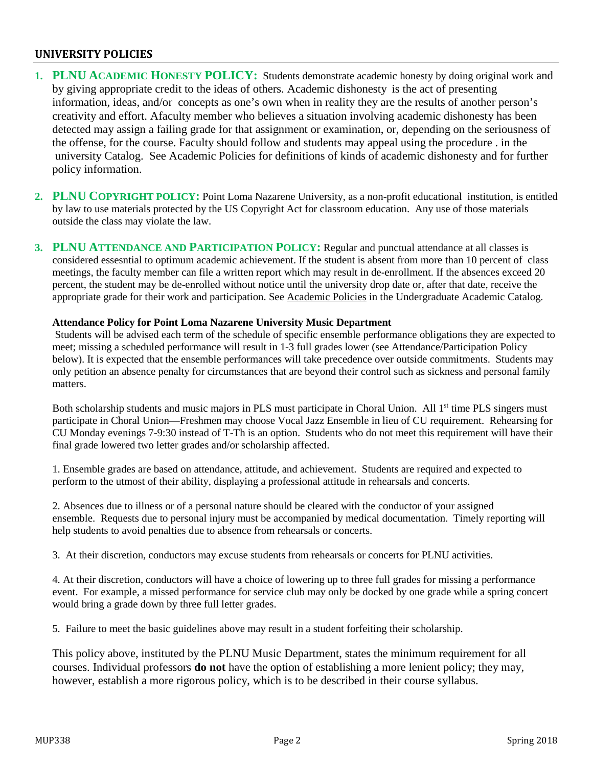#### **UNIVERSITY POLICIES**

- **1. PLNU ACADEMIC HONESTY POLICY:** Students demonstrate academic honesty by doing original work and by giving appropriate credit to the ideas of others. Academic dishonesty is the act of presenting information, ideas, and/or concepts as one's own when in reality they are the results of another person's creativity and effort. Afaculty member who believes a situation involving academic dishonesty has been detected may assign a failing grade for that assignment or examination, or, depending on the seriousness of the offense, for the course. Faculty should follow and students may appeal using the procedure . in the university Catalog. See Academic Policies for definitions of kinds of academic dishonesty and for further policy information.
- **2. PLNU COPYRIGHT POLICY:** Point Loma Nazarene University, as a non-profit educational institution, is entitled by law to use materials protected by the US Copyright Act for classroom education. Any use of those materials outside the class may violate the law.
- **3. PLNU ATTENDANCE AND PARTICIPATION POLICY:** Regular and punctual attendance at all classes is considered essesntial to optimum academic achievement. If the student is absent from more than 10 percent of class meetings, the faculty member can file a written report which may result in de-enrollment. If the absences exceed 20 percent, the student may be de-enrolled without notice until the university drop date or, after that date, receive the appropriate grade for their work and participation. See Academic Policies in the Undergraduate Academic Catalog.

#### **Attendance Policy for Point Loma Nazarene University Music Department**

Students will be advised each term of the schedule of specific ensemble performance obligations they are expected to meet; missing a scheduled performance will result in 1-3 full grades lower (see Attendance/Participation Policy below). It is expected that the ensemble performances will take precedence over outside commitments. Students may only petition an absence penalty for circumstances that are beyond their control such as sickness and personal family matters.

Both scholarship students and music majors in PLS must participate in Choral Union. All 1<sup>st</sup> time PLS singers must participate in Choral Union—Freshmen may choose Vocal Jazz Ensemble in lieu of CU requirement. Rehearsing for CU Monday evenings 7-9:30 instead of T-Th is an option. Students who do not meet this requirement will have their final grade lowered two letter grades and/or scholarship affected.

1. Ensemble grades are based on attendance, attitude, and achievement. Students are required and expected to perform to the utmost of their ability, displaying a professional attitude in rehearsals and concerts.

2. Absences due to illness or of a personal nature should be cleared with the conductor of your assigned ensemble. Requests due to personal injury must be accompanied by medical documentation. Timely reporting will help students to avoid penalties due to absence from rehearsals or concerts.

3. At their discretion, conductors may excuse students from rehearsals or concerts for PLNU activities.

4. At their discretion, conductors will have a choice of lowering up to three full grades for missing a performance event. For example, a missed performance for service club may only be docked by one grade while a spring concert would bring a grade down by three full letter grades.

5. Failure to meet the basic guidelines above may result in a student forfeiting their scholarship.

This policy above, instituted by the PLNU Music Department, states the minimum requirement for all courses. Individual professors **do not** have the option of establishing a more lenient policy; they may, however, establish a more rigorous policy, which is to be described in their course syllabus.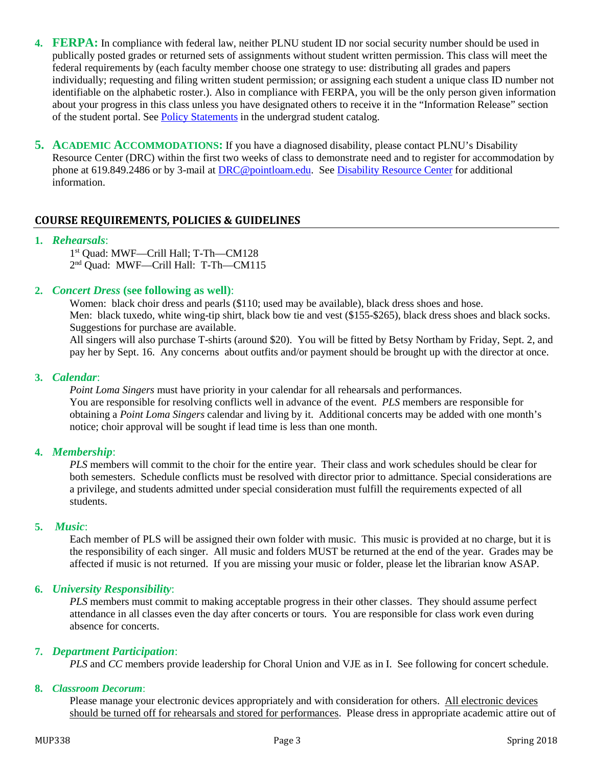- **4. FERPA:** In compliance with federal law, neither PLNU student ID nor social security number should be used in publically posted grades or returned sets of assignments without student written permission. This class will meet the federal requirements by (each faculty member choose one strategy to use: distributing all grades and papers individually; requesting and filing written student permission; or assigning each student a unique class ID number not identifiable on the alphabetic roster.). Also in compliance with FERPA, you will be the only person given information about your progress in this class unless you have designated others to receive it in the "Information Release" section of the student portal. See [Policy Statements](http://www.pointloma.edu/experience/academics/catalogs/undergraduate-catalog/policy-statements) in the undergrad student catalog.
- **5. ACADEMIC ACCOMMODATIONS:** If you have a diagnosed disability, please contact PLNU's Disability Resource Center (DRC) within the first two weeks of class to demonstrate need and to register for accommodation by phone at 619.849.2486 or by 3-mail at [DRC@pointloam.edu.](mailto:DRC@pointloam.edu) See [Disability Resource Center](http://www.pointloma.edu/experience/academics/catalogs/undergraduate-catalog/point-loma-education/academic-policies) for additional information.

#### **COURSE REQUIREMENTS, POLICIES & GUIDELINES**

#### **1.** *Rehearsals*:

1st Quad: MWF—Crill Hall; T-Th—CM128 2nd Quad: MWF—Crill Hall: T-Th—CM115

#### **2.** *Concert Dress* **(see following as well)**:

Women: black choir dress and pearls (\$110; used may be available), black dress shoes and hose. Men: black tuxedo, white wing-tip shirt, black bow tie and vest (\$155-\$265), black dress shoes and black socks. Suggestions for purchase are available.

All singers will also purchase T-shirts (around \$20). You will be fitted by Betsy Northam by Friday, Sept. 2, and pay her by Sept. 16. Any concerns about outfits and/or payment should be brought up with the director at once.

#### **3.** *Calendar*:

*Point Loma Singers* must have priority in your calendar for all rehearsals and performances. You are responsible for resolving conflicts well in advance of the event. *PLS* members are responsible for obtaining a *Point Loma Singers* calendar and living by it. Additional concerts may be added with one month's notice; choir approval will be sought if lead time is less than one month.

#### **4.** *Membership*:

*PLS* members will commit to the choir for the entire year. Their class and work schedules should be clear for both semesters. Schedule conflicts must be resolved with director prior to admittance. Special considerations are a privilege, and students admitted under special consideration must fulfill the requirements expected of all students.

#### **5.** *Music*:

Each member of PLS will be assigned their own folder with music. This music is provided at no charge, but it is the responsibility of each singer. All music and folders MUST be returned at the end of the year. Grades may be affected if music is not returned. If you are missing your music or folder, please let the librarian know ASAP.

#### **6.** *University Responsibility*:

*PLS* members must commit to making acceptable progress in their other classes. They should assume perfect attendance in all classes even the day after concerts or tours. You are responsible for class work even during absence for concerts.

#### **7.** *Department Participation*:

*PLS* and *CC* members provide leadership for Choral Union and VJE as in I. See following for concert schedule.

#### **8.** *Classroom Decorum*:

Please manage your electronic devices appropriately and with consideration for others. All electronic devices should be turned off for rehearsals and stored for performances. Please dress in appropriate academic attire out of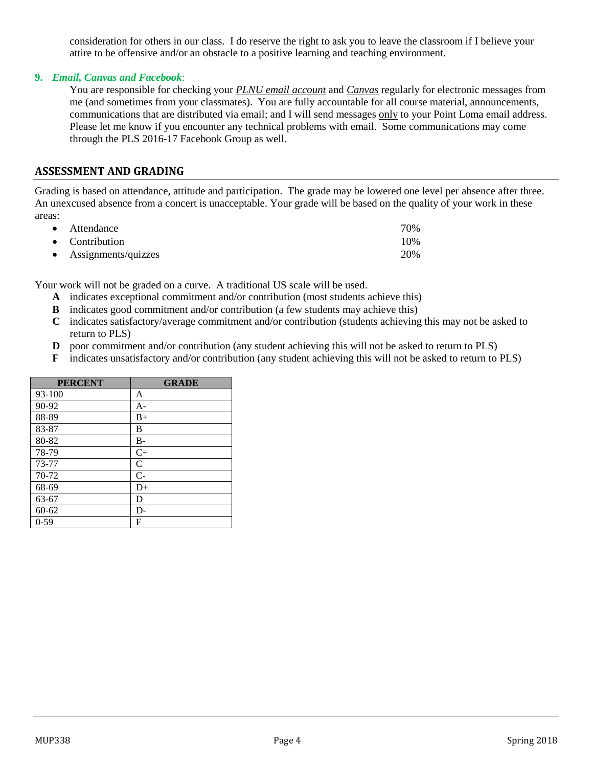consideration for others in our class. I do reserve the right to ask you to leave the classroom if I believe your attire to be offensive and/or an obstacle to a positive learning and teaching environment.

#### **9.** *Email, Canvas and Facebook*:

You are responsible for checking your *PLNU email account* and *Canvas* regularly for electronic messages from me (and sometimes from your classmates). You are fully accountable for all course material, announcements, communications that are distributed via email; and I will send messages only to your Point Loma email address. Please let me know if you encounter any technical problems with email. Some communications may come through the PLS 2016-17 Facebook Group as well.

#### **ASSESSMENT AND GRADING**

Grading is based on attendance, attitude and participation. The grade may be lowered one level per absence after three. An unexcused absence from a concert is unacceptable. Your grade will be based on the quality of your work in these areas:

| $\bullet$ Attendance  | 70% |
|-----------------------|-----|
| • Contribution        | 10% |
| • Assignments/quizzes | 20% |

Your work will not be graded on a curve. A traditional US scale will be used.

- **A** indicates exceptional commitment and/or contribution (most students achieve this)
- **B** indicates good commitment and/or contribution (a few students may achieve this)
- **C** indicates satisfactory/average commitment and/or contribution (students achieving this may not be asked to return to PLS)
- **D** poor commitment and/or contribution (any student achieving this will not be asked to return to PLS)
- **F** indicates unsatisfactory and/or contribution (any student achieving this will not be asked to return to PLS)

| <b>PERCENT</b> | <b>GRADE</b>  |
|----------------|---------------|
| 93-100         | A             |
| 90-92          | $A-$          |
| 88-89          | $B+$          |
| 83-87          | B             |
| 80-82          | $B -$         |
| 78-79          | $C+$          |
| 73-77          | $\mathcal{C}$ |
| 70-72          | $C-$          |
| 68-69          | $D+$          |
| 63-67          | D             |
| 60-62          | $D-$          |
| $0 - 59$       | F             |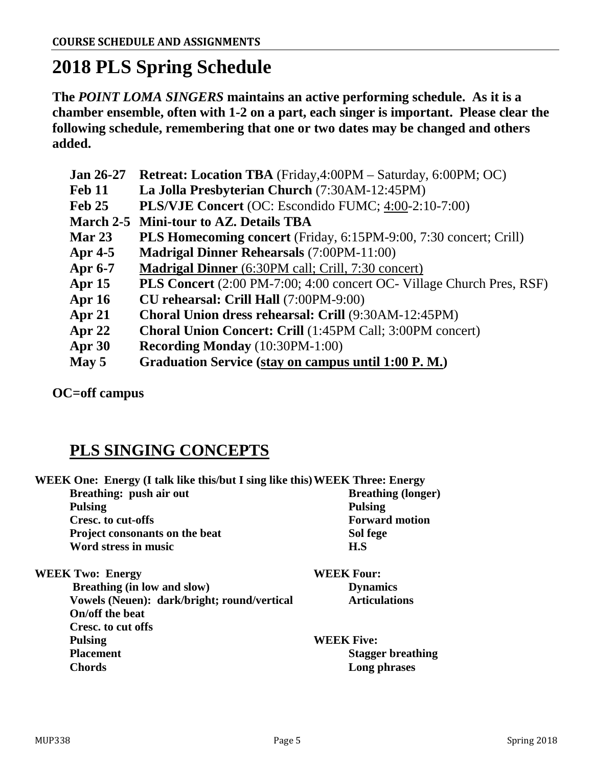## **2018 PLS Spring Schedule**

**The** *POINT LOMA SINGERS* **maintains an active performing schedule. As it is a chamber ensemble, often with 1-2 on a part, each singer is important. Please clear the following schedule, remembering that one or two dates may be changed and others added.** 

| <b>Jan 26-27</b> | <b>Retreat: Location TBA</b> (Friday, 4:00PM – Saturday, 6:00PM; OC)         |
|------------------|------------------------------------------------------------------------------|
| <b>Feb 11</b>    | La Jolla Presbyterian Church (7:30AM-12:45PM)                                |
| Feb 25           | <b>PLS/VJE Concert</b> (OC: Escondido FUMC; 4:00-2:10-7:00)                  |
|                  | March 2-5 Mini-tour to AZ. Details TBA                                       |
| Mar $23$         | PLS Homecoming concert (Friday, 6:15PM-9:00, 7:30 concert; Crill)            |
| Apr $4-5$        | <b>Madrigal Dinner Rehearsals (7:00PM-11:00)</b>                             |
| <b>Apr 6-7</b>   | <b>Madrigal Dinner</b> (6:30PM call; Crill, 7:30 concert)                    |
| Apr $15$         | <b>PLS Concert</b> (2:00 PM-7:00; 4:00 concert OC- Village Church Pres, RSF) |
| Apr $16$         | <b>CU rehearsal: Crill Hall</b> (7:00PM-9:00)                                |
| Apr $21$         | Choral Union dress rehearsal: Crill (9:30AM-12:45PM)                         |
| Apr $22$         | Choral Union Concert: Crill (1:45PM Call; 3:00PM concert)                    |
| Apr $30$         | <b>Recording Monday</b> (10:30PM-1:00)                                       |
| May 5            | Graduation Service (stay on campus until 1:00 P.M.)                          |

**OC=off campus**

### **PLS SINGING CONCEPTS**

| WEEK One: Energy (I talk like this/but I sing like this) WEEK Three: Energy |                           |  |
|-----------------------------------------------------------------------------|---------------------------|--|
| Breathing: push air out                                                     | <b>Breathing (longer)</b> |  |
| <b>Pulsing</b>                                                              | <b>Pulsing</b>            |  |
| Cresc. to cut-offs                                                          | <b>Forward motion</b>     |  |
| Project consonants on the beat                                              | Sol fege                  |  |
| Word stress in music                                                        | H.S                       |  |
| <b>WEEK Two: Energy</b>                                                     | <b>WEEK Four:</b>         |  |
| Breathing (in low and slow)                                                 | <b>Dynamics</b>           |  |
| Vowels (Neuen): dark/bright; round/vertical                                 | <b>Articulations</b>      |  |
| On/off the beat                                                             |                           |  |
| Cresc. to cut offs                                                          |                           |  |
| <b>Pulsing</b>                                                              | <b>WEEK Five:</b>         |  |
| <b>Placement</b>                                                            | <b>Stagger breathing</b>  |  |

**Chords Long phrases**